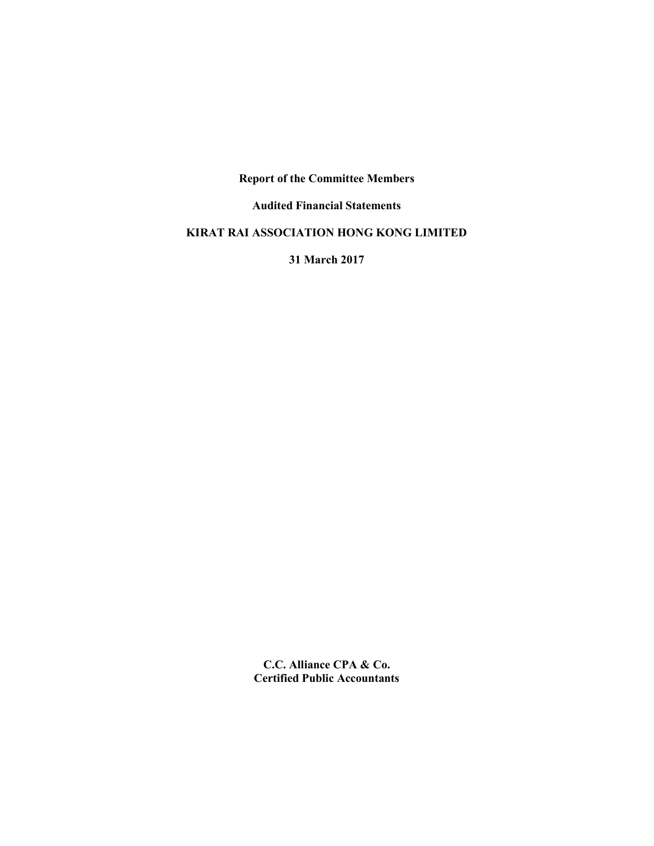Report of the Committee Members

Audited Financial Statements

# KIRAT RAI ASSOCIATION HONG KONG LIMITED

31 March 2017

C.C. Alliance CPA & Co. Certified Public Accountants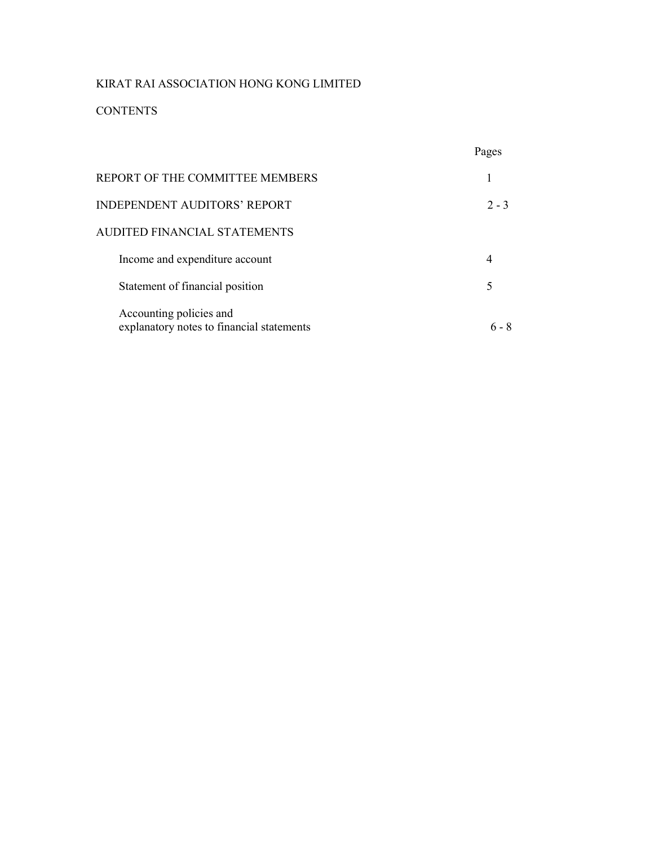# **CONTENTS**

|                                                                      | Pages |         |
|----------------------------------------------------------------------|-------|---------|
| <b>REPORT OF THE COMMITTEE MEMBERS</b>                               |       |         |
| INDEPENDENT AUDITORS' REPORT                                         |       | $2 - 3$ |
| AUDITED FINANCIAL STATEMENTS                                         |       |         |
| Income and expenditure account                                       |       |         |
| Statement of financial position                                      | 5     |         |
| Accounting policies and<br>explanatory notes to financial statements |       | 6 - 8   |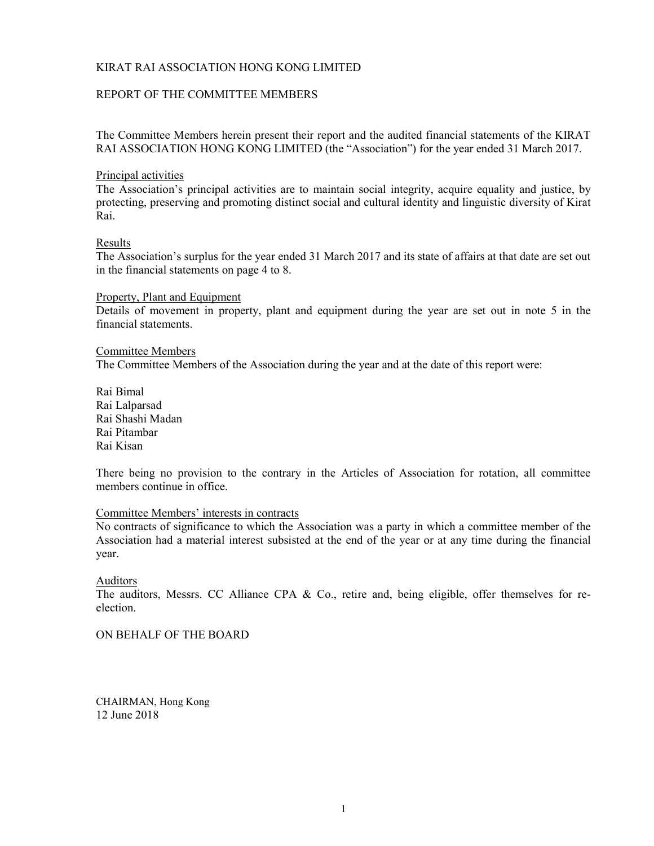### REPORT OF THE COMMITTEE MEMBERS

The Committee Members herein present their report and the audited financial statements of the KIRAT RAI ASSOCIATION HONG KONG LIMITED (the "Association") for the year ended 31 March 2017.

#### Principal activities

The Association's principal activities are to maintain social integrity, acquire equality and justice, by protecting, preserving and promoting distinct social and cultural identity and linguistic diversity of Kirat Rai.

#### Results

The Association's surplus for the year ended 31 March 2017 and its state of affairs at that date are set out in the financial statements on page 4 to 8.

#### Property, Plant and Equipment

Details of movement in property, plant and equipment during the year are set out in note 5 in the financial statements.

Committee Members The Committee Members of the Association during the year and at the date of this report were:

Rai Bimal Rai Lalparsad Rai Shashi Madan Rai Pitambar Rai Kisan

There being no provision to the contrary in the Articles of Association for rotation, all committee members continue in office.

## Committee Members' interests in contracts

No contracts of significance to which the Association was a party in which a committee member of the Association had a material interest subsisted at the end of the year or at any time during the financial year.

#### **Auditors**

The auditors, Messrs. CC Alliance CPA  $\&$  Co., retire and, being eligible, offer themselves for reelection.

### ON BEHALF OF THE BOARD

CHAIRMAN, Hong Kong 12 June 2018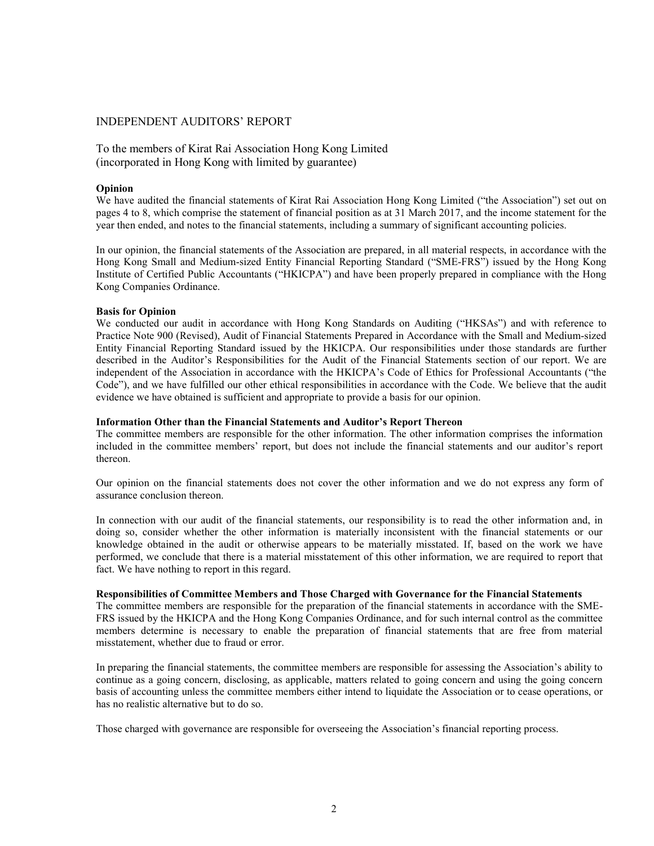#### INDEPENDENT AUDITORS' REPORT

To the members of Kirat Rai Association Hong Kong Limited (incorporated in Hong Kong with limited by guarantee)

#### Opinion

We have audited the financial statements of Kirat Rai Association Hong Kong Limited ("the Association") set out on pages 4 to 8, which comprise the statement of financial position as at 31 March 2017, and the income statement for the year then ended, and notes to the financial statements, including a summary of significant accounting policies.

In our opinion, the financial statements of the Association are prepared, in all material respects, in accordance with the Hong Kong Small and Medium-sized Entity Financial Reporting Standard ("SME-FRS") issued by the Hong Kong Institute of Certified Public Accountants ("HKICPA") and have been properly prepared in compliance with the Hong Kong Companies Ordinance.

#### Basis for Opinion

We conducted our audit in accordance with Hong Kong Standards on Auditing ("HKSAs") and with reference to Practice Note 900 (Revised), Audit of Financial Statements Prepared in Accordance with the Small and Medium-sized Entity Financial Reporting Standard issued by the HKICPA. Our responsibilities under those standards are further described in the Auditor's Responsibilities for the Audit of the Financial Statements section of our report. We are independent of the Association in accordance with the HKICPA's Code of Ethics for Professional Accountants ("the Code"), and we have fulfilled our other ethical responsibilities in accordance with the Code. We believe that the audit evidence we have obtained is sufficient and appropriate to provide a basis for our opinion.

#### Information Other than the Financial Statements and Auditor's Report Thereon

The committee members are responsible for the other information. The other information comprises the information included in the committee members' report, but does not include the financial statements and our auditor's report thereon.

Our opinion on the financial statements does not cover the other information and we do not express any form of assurance conclusion thereon.

In connection with our audit of the financial statements, our responsibility is to read the other information and, in doing so, consider whether the other information is materially inconsistent with the financial statements or our knowledge obtained in the audit or otherwise appears to be materially misstated. If, based on the work we have performed, we conclude that there is a material misstatement of this other information, we are required to report that fact. We have nothing to report in this regard.

#### Responsibilities of Committee Members and Those Charged with Governance for the Financial Statements

The committee members are responsible for the preparation of the financial statements in accordance with the SME-FRS issued by the HKICPA and the Hong Kong Companies Ordinance, and for such internal control as the committee members determine is necessary to enable the preparation of financial statements that are free from material misstatement, whether due to fraud or error.

In preparing the financial statements, the committee members are responsible for assessing the Association's ability to continue as a going concern, disclosing, as applicable, matters related to going concern and using the going concern basis of accounting unless the committee members either intend to liquidate the Association or to cease operations, or has no realistic alternative but to do so.

Those charged with governance are responsible for overseeing the Association's financial reporting process.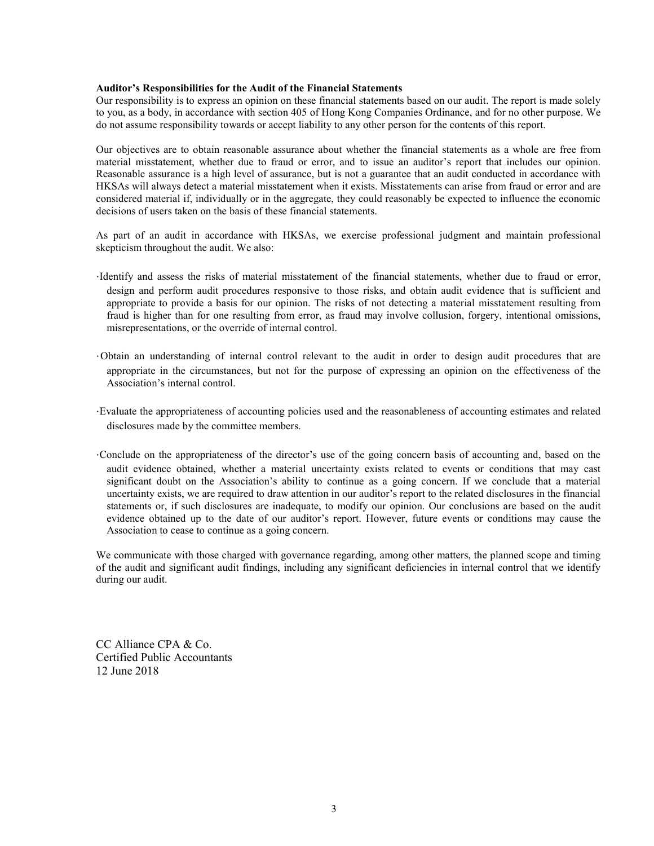#### Auditor's Responsibilities for the Audit of the Financial Statements

Our responsibility is to express an opinion on these financial statements based on our audit. The report is made solely to you, as a body, in accordance with section 405 of Hong Kong Companies Ordinance, and for no other purpose. We do not assume responsibility towards or accept liability to any other person for the contents of this report.

Our objectives are to obtain reasonable assurance about whether the financial statements as a whole are free from material misstatement, whether due to fraud or error, and to issue an auditor's report that includes our opinion. Reasonable assurance is a high level of assurance, but is not a guarantee that an audit conducted in accordance with HKSAs will always detect a material misstatement when it exists. Misstatements can arise from fraud or error and are considered material if, individually or in the aggregate, they could reasonably be expected to influence the economic decisions of users taken on the basis of these financial statements.

As part of an audit in accordance with HKSAs, we exercise professional judgment and maintain professional skepticism throughout the audit. We also:

- ∙Identify and assess the risks of material misstatement of the financial statements, whether due to fraud or error, design and perform audit procedures responsive to those risks, and obtain audit evidence that is sufficient and appropriate to provide a basis for our opinion. The risks of not detecting a material misstatement resulting from fraud is higher than for one resulting from error, as fraud may involve collusion, forgery, intentional omissions, misrepresentations, or the override of internal control.
- ∙Obtain an understanding of internal control relevant to the audit in order to design audit procedures that are appropriate in the circumstances, but not for the purpose of expressing an opinion on the effectiveness of the Association's internal control.
- ∙Evaluate the appropriateness of accounting policies used and the reasonableness of accounting estimates and related disclosures made by the committee members.
- ∙Conclude on the appropriateness of the director's use of the going concern basis of accounting and, based on the audit evidence obtained, whether a material uncertainty exists related to events or conditions that may cast significant doubt on the Association's ability to continue as a going concern. If we conclude that a material uncertainty exists, we are required to draw attention in our auditor's report to the related disclosures in the financial statements or, if such disclosures are inadequate, to modify our opinion. Our conclusions are based on the audit evidence obtained up to the date of our auditor's report. However, future events or conditions may cause the Association to cease to continue as a going concern.

We communicate with those charged with governance regarding, among other matters, the planned scope and timing of the audit and significant audit findings, including any significant deficiencies in internal control that we identify during our audit.

CC Alliance CPA & Co. Certified Public Accountants 12 June 2018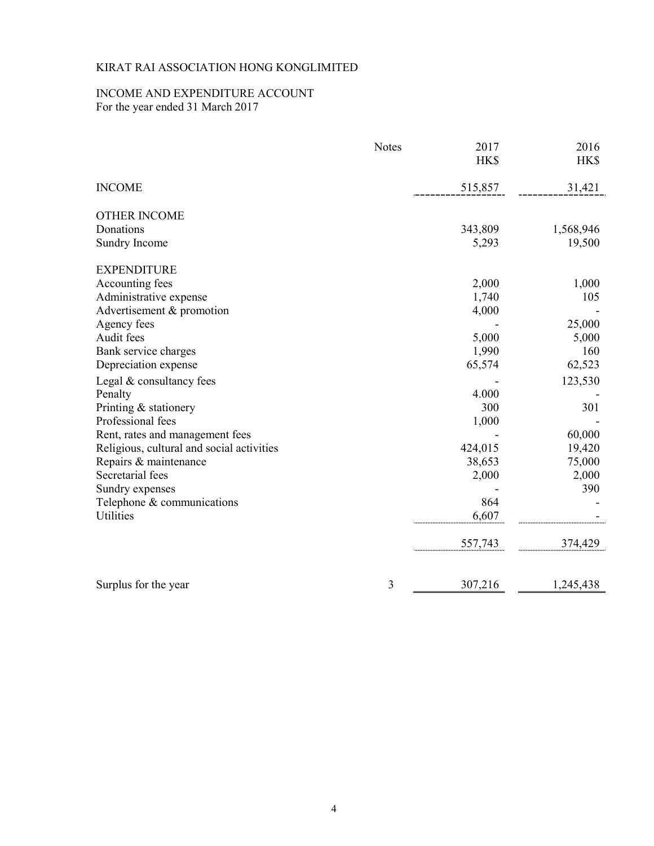# INCOME AND EXPENDITURE ACCOUNT For the year ended 31 March 2017

|                                           | <b>Notes</b> | 2017    | 2016      |
|-------------------------------------------|--------------|---------|-----------|
|                                           |              | HK\$    | HK\$      |
| <b>INCOME</b>                             |              | 515,857 | 31,421    |
| <b>OTHER INCOME</b>                       |              |         |           |
| Donations                                 |              | 343,809 | 1,568,946 |
| Sundry Income                             |              | 5,293   | 19,500    |
| <b>EXPENDITURE</b>                        |              |         |           |
| Accounting fees                           |              | 2,000   | 1,000     |
| Administrative expense                    |              | 1,740   | 105       |
| Advertisement & promotion                 |              | 4,000   |           |
| Agency fees                               |              |         | 25,000    |
| Audit fees                                |              | 5,000   | 5,000     |
| Bank service charges                      |              | 1,990   | 160       |
| Depreciation expense                      |              | 65,574  | 62,523    |
| Legal & consultancy fees                  |              |         | 123,530   |
| Penalty                                   |              | 4.000   |           |
| Printing & stationery                     |              | 300     | 301       |
| Professional fees                         |              | 1,000   |           |
| Rent, rates and management fees           |              |         | 60,000    |
| Religious, cultural and social activities |              | 424,015 | 19,420    |
| Repairs & maintenance                     |              | 38,653  | 75,000    |
| Secretarial fees                          |              | 2,000   | 2,000     |
| Sundry expenses                           |              |         | 390       |
| Telephone & communications                |              | 864     |           |
| Utilities                                 |              | 6,607   |           |
|                                           |              | 557,743 | 374,429   |
| Surplus for the year                      | 3            | 307,216 | 1,245,438 |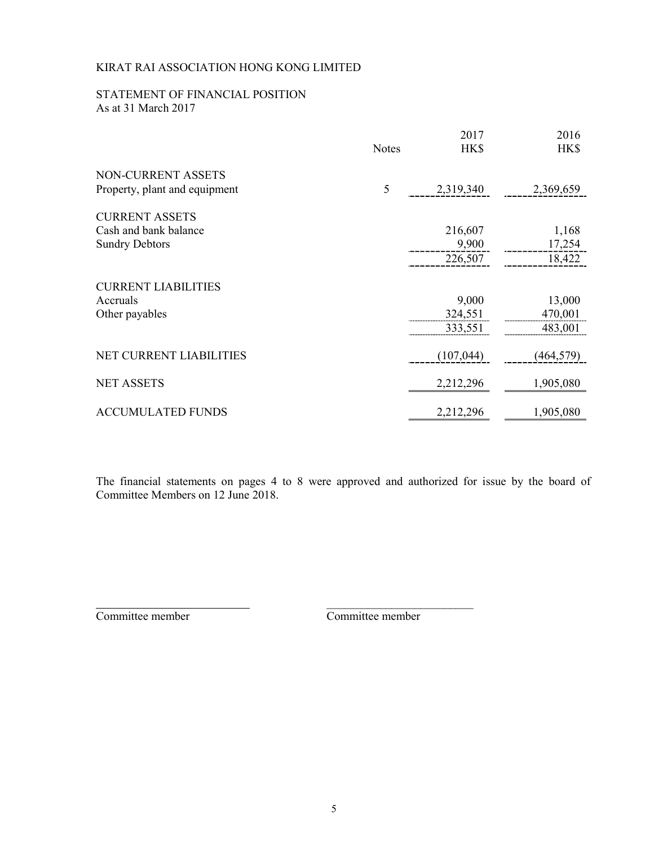#### STATEMENT OF FINANCIAL POSITION As at 31 March 2017

|                                | <b>Notes</b> | 2017<br>HK\$ | 2016<br><b>HK\$</b> |
|--------------------------------|--------------|--------------|---------------------|
| <b>NON-CURRENT ASSETS</b>      |              |              |                     |
| Property, plant and equipment  | 5            | 2,319,340    | 2,369,659           |
| <b>CURRENT ASSETS</b>          |              |              |                     |
| Cash and bank balance          |              | 216,607      | 1,168               |
| <b>Sundry Debtors</b>          |              | 9,900        | 17,254              |
|                                |              | 226,507      | 18,422              |
| <b>CURRENT LIABILITIES</b>     |              |              |                     |
| Accruals                       |              | 9,000        | 13,000              |
| Other payables                 |              | 324,551      | 470,001             |
|                                |              | 333,551      | 483,001             |
| <b>NET CURRENT LIABILITIES</b> |              | (107, 044)   | (464, 579)          |
| <b>NET ASSETS</b>              |              | 2,212,296    | 1,905,080           |
| <b>ACCUMULATED FUNDS</b>       |              | 2,212,296    | 1,905,080           |

The financial statements on pages 4 to 8 were approved and authorized for issue by the board of Committee Members on 12 June 2018.

Committee member Committee member

 $\mathcal{L}_\text{max}$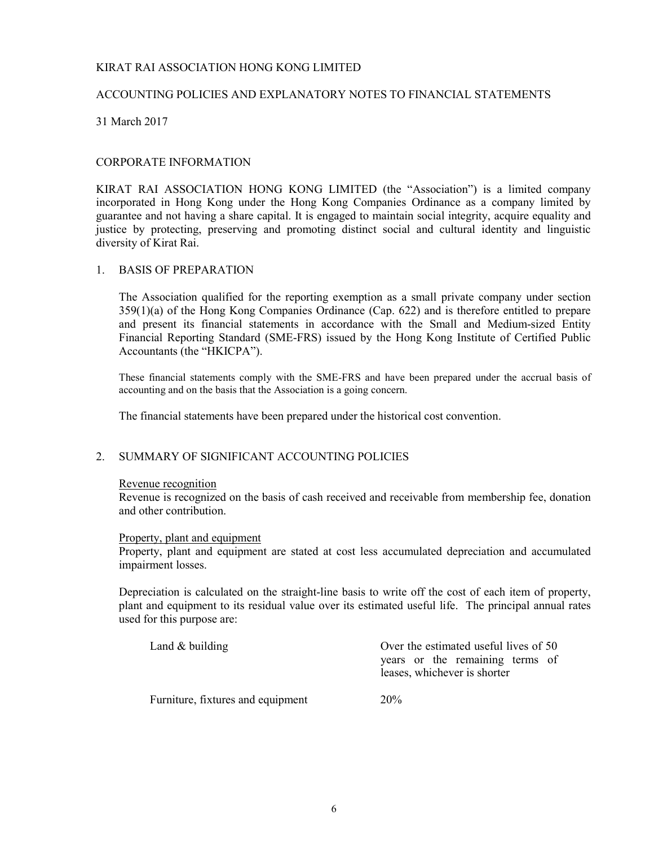### ACCOUNTING POLICIES AND EXPLANATORY NOTES TO FINANCIAL STATEMENTS

31 March 2017

### CORPORATE INFORMATION

KIRAT RAI ASSOCIATION HONG KONG LIMITED (the "Association") is a limited company incorporated in Hong Kong under the Hong Kong Companies Ordinance as a company limited by guarantee and not having a share capital. It is engaged to maintain social integrity, acquire equality and justice by protecting, preserving and promoting distinct social and cultural identity and linguistic diversity of Kirat Rai.

### 1. BASIS OF PREPARATION

The Association qualified for the reporting exemption as a small private company under section 359(1)(a) of the Hong Kong Companies Ordinance (Cap. 622) and is therefore entitled to prepare and present its financial statements in accordance with the Small and Medium-sized Entity Financial Reporting Standard (SME-FRS) issued by the Hong Kong Institute of Certified Public Accountants (the "HKICPA").

These financial statements comply with the SME-FRS and have been prepared under the accrual basis of accounting and on the basis that the Association is a going concern.

The financial statements have been prepared under the historical cost convention.

### 2. SUMMARY OF SIGNIFICANT ACCOUNTING POLICIES

#### Revenue recognition

Revenue is recognized on the basis of cash received and receivable from membership fee, donation and other contribution.

#### Property, plant and equipment

Property, plant and equipment are stated at cost less accumulated depreciation and accumulated impairment losses.

Depreciation is calculated on the straight-line basis to write off the cost of each item of property, plant and equipment to its residual value over its estimated useful life. The principal annual rates used for this purpose are:

| Land $&$ building                 | Over the estimated useful lives of 50                           |  |  |
|-----------------------------------|-----------------------------------------------------------------|--|--|
|                                   | years or the remaining terms of<br>leases, whichever is shorter |  |  |
| Furniture, fixtures and equipment | 20%                                                             |  |  |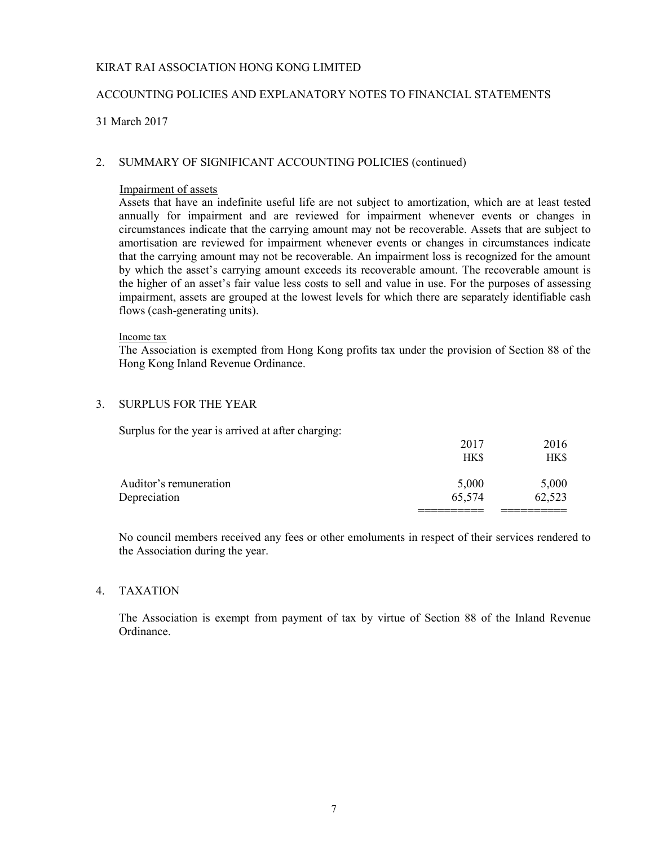### ACCOUNTING POLICIES AND EXPLANATORY NOTES TO FINANCIAL STATEMENTS

31 March 2017

### 2. SUMMARY OF SIGNIFICANT ACCOUNTING POLICIES (continued)

#### Impairment of assets

Assets that have an indefinite useful life are not subject to amortization, which are at least tested annually for impairment and are reviewed for impairment whenever events or changes in circumstances indicate that the carrying amount may not be recoverable. Assets that are subject to amortisation are reviewed for impairment whenever events or changes in circumstances indicate that the carrying amount may not be recoverable. An impairment loss is recognized for the amount by which the asset's carrying amount exceeds its recoverable amount. The recoverable amount is the higher of an asset's fair value less costs to sell and value in use. For the purposes of assessing impairment, assets are grouped at the lowest levels for which there are separately identifiable cash flows (cash-generating units).

Income tax

The Association is exempted from Hong Kong profits tax under the provision of Section 88 of the Hong Kong Inland Revenue Ordinance.

#### 3. SURPLUS FOR THE YEAR

Surplus for the year is arrived at after charging:

| 2017   | 2016        |
|--------|-------------|
| HK\$   | <b>HK\$</b> |
| 5,000  | 5,000       |
| 65,574 | 62,523      |
|        |             |

No council members received any fees or other emoluments in respect of their services rendered to the Association during the year.

#### 4. TAXATION

The Association is exempt from payment of tax by virtue of Section 88 of the Inland Revenue Ordinance.